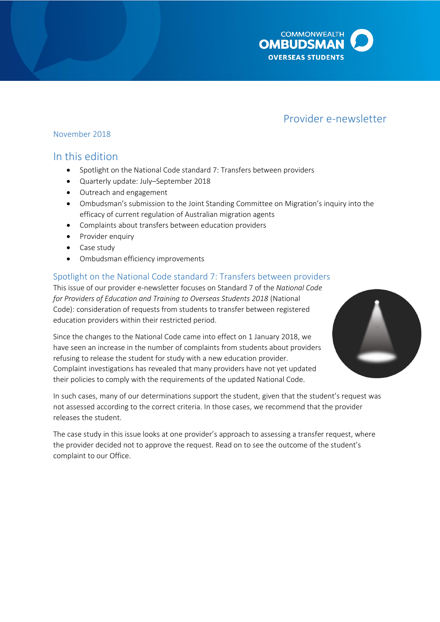

# Provider e-newsletter

### November 2018

# In this edition

- Spotlight on the National Code standard 7: Transfers between providers
- Quarterly update: July–September 2018
- Outreach and engagement
- Ombudsman's submission to the Joint Standing Committee on Migration's inquiry into the efficacy of current regulation of Australian migration agents
- Complaints about transfers between education providers
- Provider enquiry
- Case study
- Ombudsman efficiency improvements

## Spotlight on the National Code standard 7: Transfers between providers

This issue of our provider e-newsletter focuses on Standard 7 of the *National Code for Providers of Education and Training to Overseas Students 2018* (National Code): consideration of requests from students to transfer between registered education providers within their restricted period.

Since the changes to the National Code came into effect on 1 January 2018, we have seen an increase in the number of complaints from students about providers refusing to release the student for study with a new education provider. Complaint investigations has revealed that many providers have not yet updated their policies to comply with the requirements of the updated National Code.



In such cases, many of our determinations support the student, given that the student's request was not assessed according to the correct criteria. In those cases, we recommend that the provider releases the student.

The case study in this issue looks at one provider's approach to assessing a transfer request, where the provider decided not to approve the request. Read on to see the outcome of the student's complaint to our Office.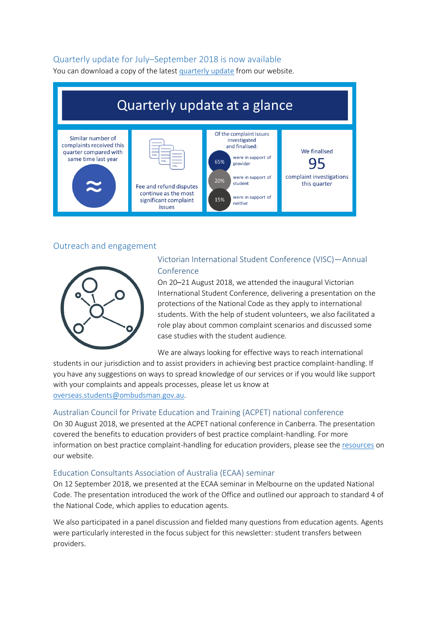### Quarterly update for July–September 2018 is now available

You can download a copy of the lates[t quarterly update](http://www.ombudsman.gov.au/publications/industry/oso-quarterly-reports) from our website.



### Outreach and engagement



## Victorian International Student Conference (VISC)—Annual Conference

On 20–21 August 2018, we attended the inaugural Victorian International Student Conference, delivering a presentation on the protections of the National Code as they apply to international students. With the help of student volunteers, we also facilitated a role play about common complaint scenarios and discussed some case studies with the student audience.

We are always looking for effective ways to reach international

students in our jurisdiction and to assist providers in achieving best practice complaint-handling. If you have any suggestions on ways to spread knowledge of our services or if you would like support with your complaints and appeals processes, please let us know at [overseas.students@ombudsman.gov.au.](mailto:overseas.students@ombudsman.gov.au)

#### Australian Council for Private Education and Training (ACPET) national conference

On 30 August 2018, we presented at the ACPET national conference in Canberra. The presentation covered the benefits to education providers of best practice complaint-handling. For more information on best practice complaint-handling for education providers, please see the [resources](http://www.ombudsman.gov.au/about/overseas-students/private-education-providers) on our website.

#### Education Consultants Association of Australia (ECAA) seminar

On 12 September 2018, we presented at the ECAA seminar in Melbourne on the updated National Code. The presentation introduced the work of the Office and outlined our approach to standard 4 of the National Code, which applies to education agents.

We also participated in a panel discussion and fielded many questions from education agents. Agents were particularly interested in the focus subject for this newsletter: student transfers between providers.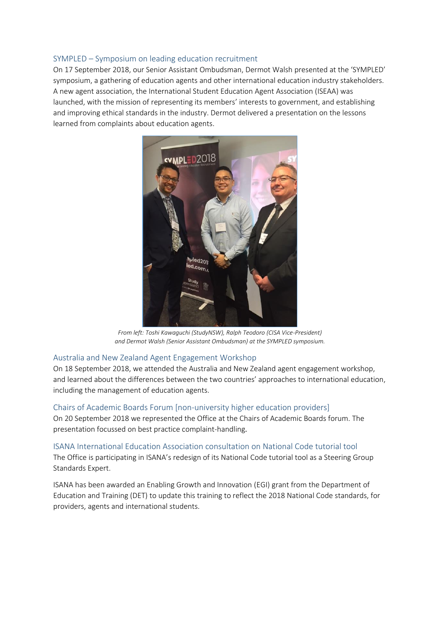#### SYMPLED – Symposium on leading education recruitment

On 17 September 2018, our Senior Assistant Ombudsman, Dermot Walsh presented at the 'SYMPLED' symposium, a gathering of education agents and other international education industry stakeholders. A new agent association, the International Student Education Agent Association (ISEAA) was launched, with the mission of representing its members' interests to government, and establishing and improving ethical standards in the industry. Dermot delivered a presentation on the lessons learned from complaints about education agents.



*From left: Toshi Kawaguchi (StudyNSW), Ralph Teodoro (CISA Vice-President) and Dermot Walsh (Senior Assistant Ombudsman) at the SYMPLED symposium.*

#### Australia and New Zealand Agent Engagement Workshop

On 18 September 2018, we attended the Australia and New Zealand agent engagement workshop, and learned about the differences between the two countries' approaches to international education, including the management of education agents.

#### Chairs of Academic Boards Forum [non-university higher education providers]

On 20 September 2018 we represented the Office at the Chairs of Academic Boards forum. The presentation focussed on best practice complaint-handling.

#### ISANA International Education Association consultation on National Code tutorial tool

The Office is participating in ISANA's redesign of its National Code tutorial tool as a Steering Group Standards Expert.

ISANA has been awarded an Enabling Growth and Innovation (EGI) grant from the Department of Education and Training (DET) to update this training to reflect the 2018 National Code standards, for providers, agents and international students.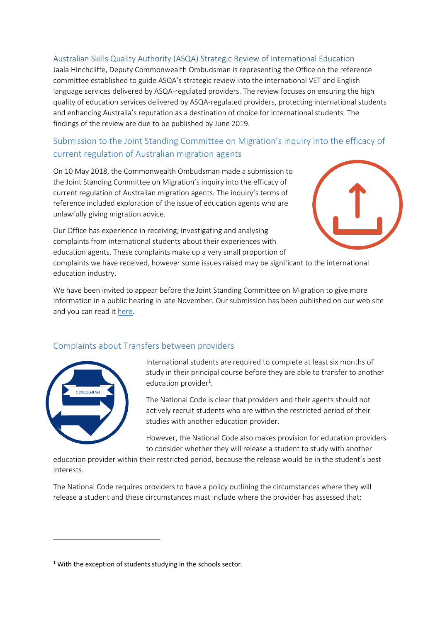### Australian Skills Quality Authority (ASQA) Strategic Review of International Education

Jaala Hinchcliffe, Deputy Commonwealth Ombudsman is representing the Office on the reference committee established to guide ASQA's strategic review into the international VET and English language services delivered by ASQA-regulated providers. The review focuses on ensuring the high quality of education services delivered by ASQA-regulated providers, protecting international students and enhancing Australia's reputation as a destination of choice for international students. The findings of the review are due to be published by June 2019.

# Submission to the Joint Standing Committee on Migration's inquiry into the efficacy of current regulation of Australian migration agents

On 10 May 2018, the Commonwealth Ombudsman made a submission to the Joint Standing Committee on Migration's inquiry into the efficacy of current regulation of Australian migration agents. The inquiry's terms of reference included exploration of the issue of education agents who are unlawfully giving migration advice.

Our Office has experience in receiving, investigating and analysing complaints from international students about their experiences with education agents. These complaints make up a very small proportion of



complaints we have received, however some issues raised may be significant to the international education industry.

We have been invited to appear before the Joint Standing Committee on Migration to give more information in a public hearing in late November. Our submission has been published on our web site and you can read it [here.](http://www.ombudsman.gov.au/__data/assets/pdf_file/0029/85961/Commonwealth-Ombudsmans-submission-to-the-inquiry-into-the-regulation-of-Australian-migration-agents.pdf)

## Complaints about Transfers between providers



**.** 

International students are required to complete at least six months of study in their principal course before they are able to transfer to another education provider<sup>1</sup>.

The National Code is clear that providers and their agents should not actively recruit students who are within the restricted period of their studies with another education provider.

However, the National Code also makes provision for education providers to consider whether they will release a student to study with another

education provider within their restricted period, because the release would be in the student's best interests.

The National Code requires providers to have a policy outlining the circumstances where they will release a student and these circumstances must include where the provider has assessed that:

<sup>&</sup>lt;sup>1</sup> With the exception of students studying in the schools sector.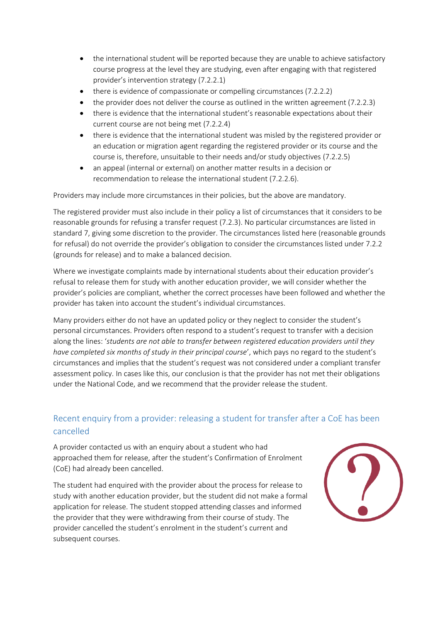- the international student will be reported because they are unable to achieve satisfactory course progress at the level they are studying, even after engaging with that registered provider's intervention strategy (7.2.2.1)
- there is evidence of compassionate or compelling circumstances (7.2.2.2)
- the provider does not deliver the course as outlined in the written agreement (7.2.2.3)
- there is evidence that the international student's reasonable expectations about their current course are not being met (7.2.2.4)
- there is evidence that the international student was misled by the registered provider or an education or migration agent regarding the registered provider or its course and the course is, therefore, unsuitable to their needs and/or study objectives (7.2.2.5)
- an appeal (internal or external) on another matter results in a decision or recommendation to release the international student (7.2.2.6).

Providers may include more circumstances in their policies, but the above are mandatory.

The registered provider must also include in their policy a list of circumstances that it considers to be reasonable grounds for refusing a transfer request (7.2.3). No particular circumstances are listed in standard 7, giving some discretion to the provider. The circumstances listed here (reasonable grounds for refusal) do not override the provider's obligation to consider the circumstances listed under 7.2.2 (grounds for release) and to make a balanced decision.

Where we investigate complaints made by international students about their education provider's refusal to release them for study with another education provider, we will consider whether the provider's policies are compliant, whether the correct processes have been followed and whether the provider has taken into account the student's individual circumstances.

Many providers either do not have an updated policy or they neglect to consider the student's personal circumstances. Providers often respond to a student's request to transfer with a decision along the lines: '*students are not able to transfer between registered education providers until they have completed six months of study in their principal course*', which pays no regard to the student's circumstances and implies that the student's request was not considered under a compliant transfer assessment policy. In cases like this, our conclusion is that the provider has not met their obligations under the National Code, and we recommend that the provider release the student.

# Recent enquiry from a provider: releasing a student for transfer after a CoE has been cancelled

A provider contacted us with an enquiry about a student who had approached them for release, after the student's Confirmation of Enrolment (CoE) had already been cancelled.

The student had enquired with the provider about the process for release to study with another education provider, but the student did not make a formal application for release. The student stopped attending classes and informed the provider that they were withdrawing from their course of study. The provider cancelled the student's enrolment in the student's current and subsequent courses.

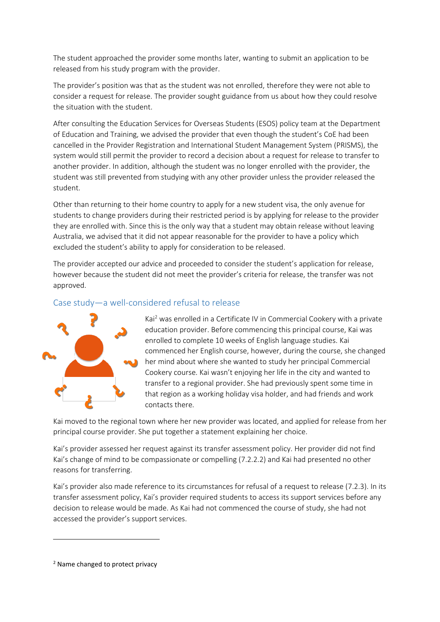The student approached the provider some months later, wanting to submit an application to be released from his study program with the provider.

The provider's position was that as the student was not enrolled, therefore they were not able to consider a request for release. The provider sought guidance from us about how they could resolve the situation with the student.

After consulting the Education Services for Overseas Students (ESOS) policy team at the Department of Education and Training, we advised the provider that even though the student's CoE had been cancelled in the Provider Registration and International Student Management System (PRISMS), the system would still permit the provider to record a decision about a request for release to transfer to another provider. In addition, although the student was no longer enrolled with the provider, the student was still prevented from studying with any other provider unless the provider released the student.

Other than returning to their home country to apply for a new student visa, the only avenue for students to change providers during their restricted period is by applying for release to the provider they are enrolled with. Since this is the only way that a student may obtain release without leaving Australia, we advised that it did not appear reasonable for the provider to have a policy which excluded the student's ability to apply for consideration to be released.

The provider accepted our advice and proceeded to consider the student's application for release, however because the student did not meet the provider's criteria for release, the transfer was not approved.

## Case study—a well-considered refusal to release



Kai<sup>2</sup> was enrolled in a Certificate IV in Commercial Cookery with a private education provider. Before commencing this principal course, Kai was enrolled to complete 10 weeks of English language studies. Kai commenced her English course, however, during the course, she changed her mind about where she wanted to study her principal Commercial Cookery course. Kai wasn't enjoying her life in the city and wanted to transfer to a regional provider. She had previously spent some time in that region as a working holiday visa holder, and had friends and work contacts there.

Kai moved to the regional town where her new provider was located, and applied for release from her principal course provider. She put together a statement explaining her choice.

Kai's provider assessed her request against its transfer assessment policy. Her provider did not find Kai's change of mind to be compassionate or compelling (7.2.2.2) and Kai had presented no other reasons for transferring.

Kai's provider also made reference to its circumstances for refusal of a request to release (7.2.3). In its transfer assessment policy, Kai's provider required students to access its support services before any decision to release would be made. As Kai had not commenced the course of study, she had not accessed the provider's support services.

**.** 

<sup>2</sup> Name changed to protect privacy